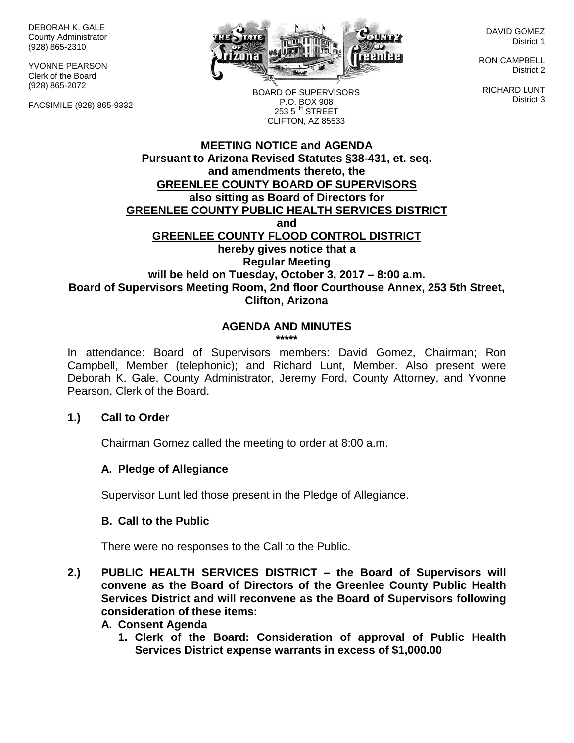DEBORAH K. GALE County Administrator (928) 865-2310

YVONNE PEARSON Clerk of the Board (928) 865-2072

FACSIMILE (928) 865-9332



DAVID GOMEZ District 1

RON CAMPBELL District 2

RICHARD LUNT District 3

BOARD OF SUPERVISORS P.O. BOX 908  $253.5$ <sup>TH</sup> STREET CLIFTON, AZ 85533

### **MEETING NOTICE and AGENDA Pursuant to Arizona Revised Statutes §38-431, et. seq. and amendments thereto, the GREENLEE COUNTY BOARD OF SUPERVISORS also sitting as Board of Directors for GREENLEE COUNTY PUBLIC HEALTH SERVICES DISTRICT and GREENLEE COUNTY FLOOD CONTROL DISTRICT hereby gives notice that a Regular Meeting will be held on Tuesday, October 3, 2017 – 8:00 a.m. Board of Supervisors Meeting Room, 2nd floor Courthouse Annex, 253 5th Street, Clifton, Arizona**

# **AGENDA AND MINUTES**

**\*\*\*\*\***

In attendance: Board of Supervisors members: David Gomez, Chairman; Ron Campbell, Member (telephonic); and Richard Lunt, Member. Also present were Deborah K. Gale, County Administrator, Jeremy Ford, County Attorney, and Yvonne Pearson, Clerk of the Board.

#### **1.) Call to Order**

Chairman Gomez called the meeting to order at 8:00 a.m.

### **A. Pledge of Allegiance**

Supervisor Lunt led those present in the Pledge of Allegiance.

### **B. Call to the Public**

There were no responses to the Call to the Public.

- **2.) PUBLIC HEALTH SERVICES DISTRICT – the Board of Supervisors will convene as the Board of Directors of the Greenlee County Public Health Services District and will reconvene as the Board of Supervisors following consideration of these items:**
	- **A. Consent Agenda**
		- **1. Clerk of the Board: Consideration of approval of Public Health Services District expense warrants in excess of \$1,000.00**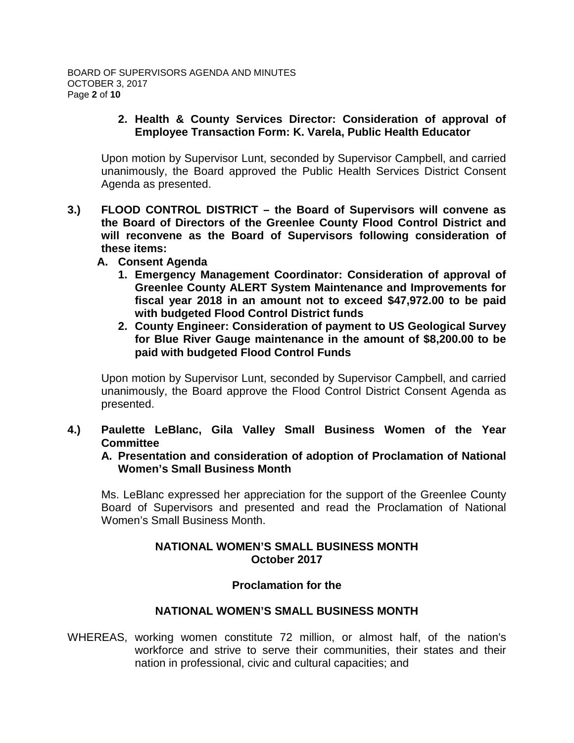### **2. Health & County Services Director: Consideration of approval of Employee Transaction Form: K. Varela, Public Health Educator**

Upon motion by Supervisor Lunt, seconded by Supervisor Campbell, and carried unanimously, the Board approved the Public Health Services District Consent Agenda as presented.

- **3.) FLOOD CONTROL DISTRICT – the Board of Supervisors will convene as the Board of Directors of the Greenlee County Flood Control District and will reconvene as the Board of Supervisors following consideration of these items:**
	- **A. Consent Agenda**
		- **1. Emergency Management Coordinator: Consideration of approval of Greenlee County ALERT System Maintenance and Improvements for fiscal year 2018 in an amount not to exceed \$47,972.00 to be paid with budgeted Flood Control District funds**
		- **2. County Engineer: Consideration of payment to US Geological Survey for Blue River Gauge maintenance in the amount of \$8,200.00 to be paid with budgeted Flood Control Funds**

Upon motion by Supervisor Lunt, seconded by Supervisor Campbell, and carried unanimously, the Board approve the Flood Control District Consent Agenda as presented.

### **4.) Paulette LeBlanc, Gila Valley Small Business Women of the Year Committee**

**A. Presentation and consideration of adoption of Proclamation of National Women's Small Business Month**

Ms. LeBlanc expressed her appreciation for the support of the Greenlee County Board of Supervisors and presented and read the Proclamation of National Women's Small Business Month.

# **NATIONAL WOMEN'S SMALL BUSINESS MONTH October 2017**

### **Proclamation for the**

### **NATIONAL WOMEN'S SMALL BUSINESS MONTH**

WHEREAS, working women constitute 72 million, or almost half, of the nation's workforce and strive to serve their communities, their states and their nation in professional, civic and cultural capacities; and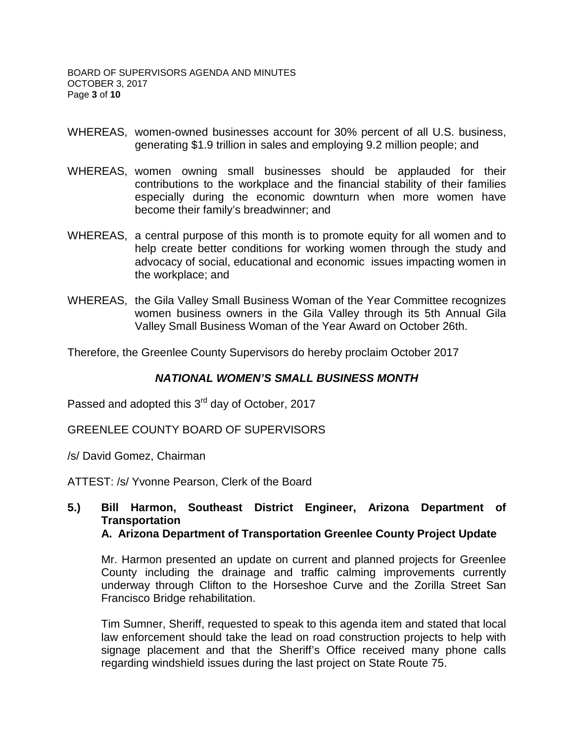- WHEREAS, women-owned businesses account for 30% percent of all U.S. business, generating \$1.9 trillion in sales and employing 9.2 million people; and
- WHEREAS, women owning small businesses should be applauded for their contributions to the workplace and the financial stability of their families especially during the economic downturn when more women have become their family's breadwinner; and
- WHEREAS, a central purpose of this month is to promote equity for all women and to help create better conditions for working women through the study and advocacy of social, educational and economic issues impacting women in the workplace; and
- WHEREAS, the Gila Valley Small Business Woman of the Year Committee recognizes women business owners in the Gila Valley through its 5th Annual Gila Valley Small Business Woman of the Year Award on October 26th.

Therefore, the Greenlee County Supervisors do hereby proclaim October 2017

### *NATIONAL WOMEN'S SMALL BUSINESS MONTH*

Passed and adopted this 3<sup>rd</sup> day of October, 2017

GREENLEE COUNTY BOARD OF SUPERVISORS

/s/ David Gomez, Chairman

ATTEST: /s/ Yvonne Pearson, Clerk of the Board

#### **5.) Bill Harmon, Southeast District Engineer, Arizona Department of Transportation A. Arizona Department of Transportation Greenlee County Project Update**

Mr. Harmon presented an update on current and planned projects for Greenlee County including the drainage and traffic calming improvements currently underway through Clifton to the Horseshoe Curve and the Zorilla Street San Francisco Bridge rehabilitation.

Tim Sumner, Sheriff, requested to speak to this agenda item and stated that local law enforcement should take the lead on road construction projects to help with signage placement and that the Sheriff's Office received many phone calls regarding windshield issues during the last project on State Route 75.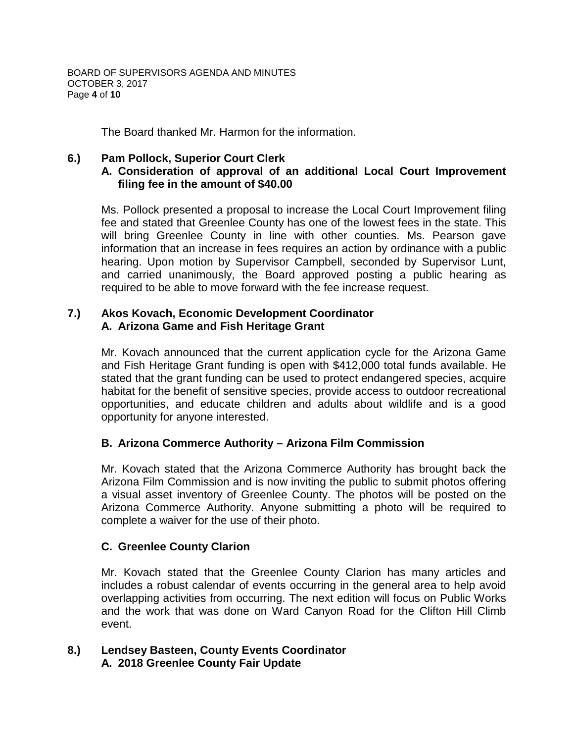The Board thanked Mr. Harmon for the information.

## **6.) Pam Pollock, Superior Court Clerk**

## **A. Consideration of approval of an additional Local Court Improvement filing fee in the amount of \$40.00**

Ms. Pollock presented a proposal to increase the Local Court Improvement filing fee and stated that Greenlee County has one of the lowest fees in the state. This will bring Greenlee County in line with other counties. Ms. Pearson gave information that an increase in fees requires an action by ordinance with a public hearing. Upon motion by Supervisor Campbell, seconded by Supervisor Lunt, and carried unanimously, the Board approved posting a public hearing as required to be able to move forward with the fee increase request.

### **7.) Akos Kovach, Economic Development Coordinator A. Arizona Game and Fish Heritage Grant**

Mr. Kovach announced that the current application cycle for the Arizona Game and Fish Heritage Grant funding is open with \$412,000 total funds available. He stated that the grant funding can be used to [protect endangered species,](https://www.azgfd.com/wildlife/speciesofgreatestconservneed/) acquire habitat for the benefit of sensitive species, provide access to outdoor recreational opportunities, and educate children and adults about wildlife and is a good opportunity for anyone interested.

### **B. Arizona Commerce Authority – Arizona Film Commission**

Mr. Kovach stated that the Arizona Commerce Authority has brought back the Arizona Film Commission and is now inviting the public to submit photos offering a visual asset inventory of Greenlee County. The photos will be posted on the Arizona Commerce Authority. Anyone submitting a photo will be required to complete a waiver for the use of their photo.

### **C. Greenlee County Clarion**

Mr. Kovach stated that the Greenlee County Clarion has many articles and includes a robust calendar of events occurring in the general area to help avoid overlapping activities from occurring. The next edition will focus on Public Works and the work that was done on Ward Canyon Road for the Clifton Hill Climb event.

### **8.) Lendsey Basteen, County Events Coordinator A. 2018 Greenlee County Fair Update**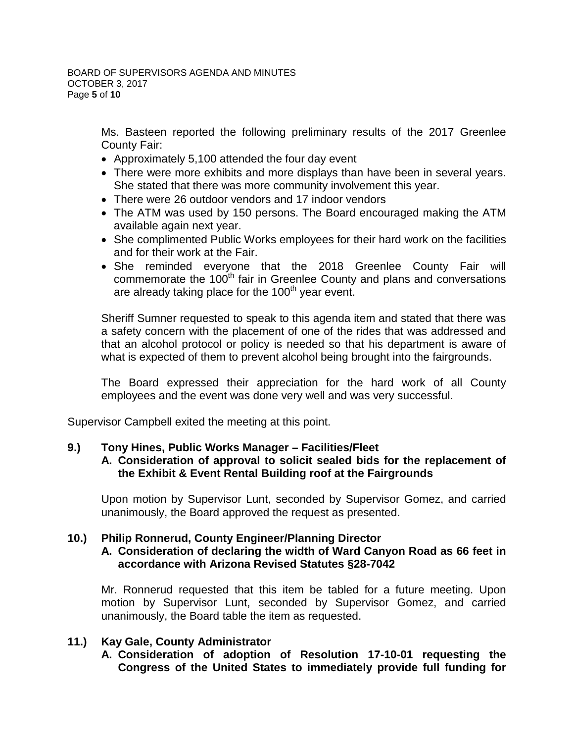Ms. Basteen reported the following preliminary results of the 2017 Greenlee County Fair:

- Approximately 5,100 attended the four day event
- There were more exhibits and more displays than have been in several years. She stated that there was more community involvement this year.
- There were 26 outdoor vendors and 17 indoor vendors
- The ATM was used by 150 persons. The Board encouraged making the ATM available again next year.
- She complimented Public Works employees for their hard work on the facilities and for their work at the Fair.
- She reminded everyone that the 2018 Greenlee County Fair will commemorate the  $100<sup>th</sup>$  fair in Greenlee County and plans and conversations are already taking place for the 100<sup>th</sup> year event.

Sheriff Sumner requested to speak to this agenda item and stated that there was a safety concern with the placement of one of the rides that was addressed and that an alcohol protocol or policy is needed so that his department is aware of what is expected of them to prevent alcohol being brought into the fairgrounds.

The Board expressed their appreciation for the hard work of all County employees and the event was done very well and was very successful.

Supervisor Campbell exited the meeting at this point.

# **9.) Tony Hines, Public Works Manager – Facilities/Fleet**

# **A. Consideration of approval to solicit sealed bids for the replacement of the Exhibit & Event Rental Building roof at the Fairgrounds**

Upon motion by Supervisor Lunt, seconded by Supervisor Gomez, and carried unanimously, the Board approved the request as presented.

#### **10.) Philip Ronnerud, County Engineer/Planning Director A. Consideration of declaring the width of Ward Canyon Road as 66 feet in accordance with Arizona Revised Statutes §28-7042**

Mr. Ronnerud requested that this item be tabled for a future meeting. Upon motion by Supervisor Lunt, seconded by Supervisor Gomez, and carried unanimously, the Board table the item as requested.

# **11.) Kay Gale, County Administrator**

**A. Consideration of adoption of Resolution 17-10-01 requesting the Congress of the United States to immediately provide full funding for**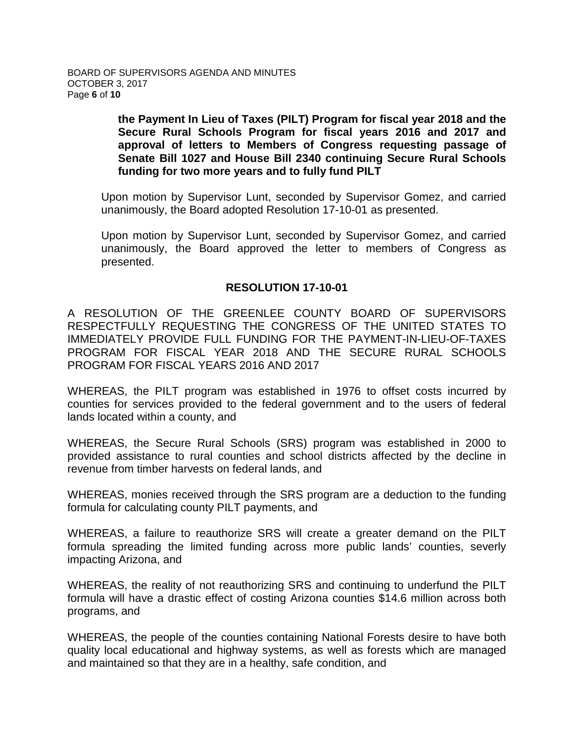**the Payment In Lieu of Taxes (PILT) Program for fiscal year 2018 and the Secure Rural Schools Program for fiscal years 2016 and 2017 and approval of letters to Members of Congress requesting passage of Senate Bill 1027 and House Bill 2340 continuing Secure Rural Schools funding for two more years and to fully fund PILT**

Upon motion by Supervisor Lunt, seconded by Supervisor Gomez, and carried unanimously, the Board adopted Resolution 17-10-01 as presented.

Upon motion by Supervisor Lunt, seconded by Supervisor Gomez, and carried unanimously, the Board approved the letter to members of Congress as presented.

### **RESOLUTION 17-10-01**

A RESOLUTION OF THE GREENLEE COUNTY BOARD OF SUPERVISORS RESPECTFULLY REQUESTING THE CONGRESS OF THE UNITED STATES TO IMMEDIATELY PROVIDE FULL FUNDING FOR THE PAYMENT-IN-LIEU-OF-TAXES PROGRAM FOR FISCAL YEAR 2018 AND THE SECURE RURAL SCHOOLS PROGRAM FOR FISCAL YEARS 2016 AND 2017

WHEREAS, the PILT program was established in 1976 to offset costs incurred by counties for services provided to the federal government and to the users of federal lands located within a county, and

WHEREAS, the Secure Rural Schools (SRS) program was established in 2000 to provided assistance to rural counties and school districts affected by the decline in revenue from timber harvests on federal lands, and

WHEREAS, monies received through the SRS program are a deduction to the funding formula for calculating county PILT payments, and

WHEREAS, a failure to reauthorize SRS will create a greater demand on the PILT formula spreading the limited funding across more public lands' counties, severly impacting Arizona, and

WHEREAS, the reality of not reauthorizing SRS and continuing to underfund the PILT formula will have a drastic effect of costing Arizona counties \$14.6 million across both programs, and

WHEREAS, the people of the counties containing National Forests desire to have both quality local educational and highway systems, as well as forests which are managed and maintained so that they are in a healthy, safe condition, and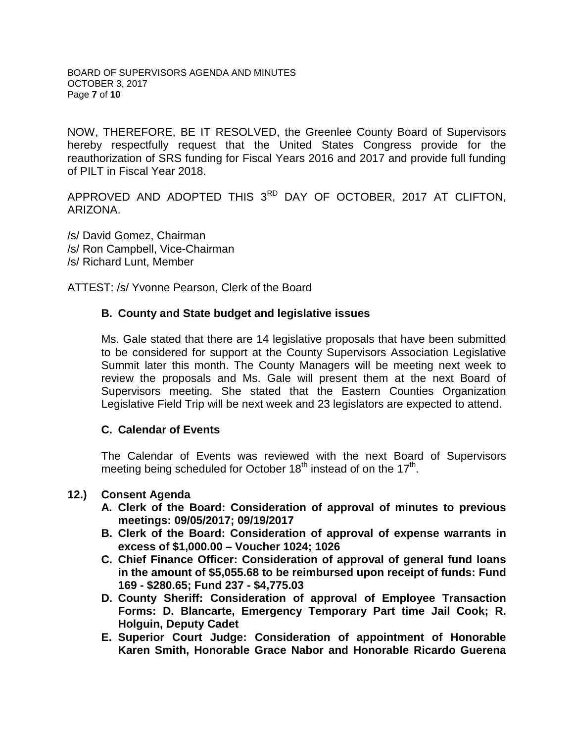NOW, THEREFORE, BE IT RESOLVED, the Greenlee County Board of Supervisors hereby respectfully request that the United States Congress provide for the reauthorization of SRS funding for Fiscal Years 2016 and 2017 and provide full funding of PILT in Fiscal Year 2018.

APPROVED AND ADOPTED THIS 3RD DAY OF OCTOBER, 2017 AT CLIFTON, ARIZONA.

/s/ David Gomez, Chairman /s/ Ron Campbell, Vice-Chairman /s/ Richard Lunt, Member

ATTEST: /s/ Yvonne Pearson, Clerk of the Board

### **B. County and State budget and legislative issues**

Ms. Gale stated that there are 14 legislative proposals that have been submitted to be considered for support at the County Supervisors Association Legislative Summit later this month. The County Managers will be meeting next week to review the proposals and Ms. Gale will present them at the next Board of Supervisors meeting. She stated that the Eastern Counties Organization Legislative Field Trip will be next week and 23 legislators are expected to attend.

#### **C. Calendar of Events**

The Calendar of Events was reviewed with the next Board of Supervisors meeting being scheduled for October  $18<sup>th</sup>$  instead of on the  $17<sup>th</sup>$ .

#### **12.) Consent Agenda**

- **A. Clerk of the Board: Consideration of approval of minutes to previous meetings: 09/05/2017; 09/19/2017**
- **B. Clerk of the Board: Consideration of approval of expense warrants in excess of \$1,000.00 – Voucher 1024; 1026**
- **C. Chief Finance Officer: Consideration of approval of general fund loans in the amount of \$5,055.68 to be reimbursed upon receipt of funds: Fund 169 - \$280.65; Fund 237 - \$4,775.03**
- **D. County Sheriff: Consideration of approval of Employee Transaction Forms: D. Blancarte, Emergency Temporary Part time Jail Cook; R. Holguin, Deputy Cadet**
- **E. Superior Court Judge: Consideration of appointment of Honorable Karen Smith, Honorable Grace Nabor and Honorable Ricardo Guerena**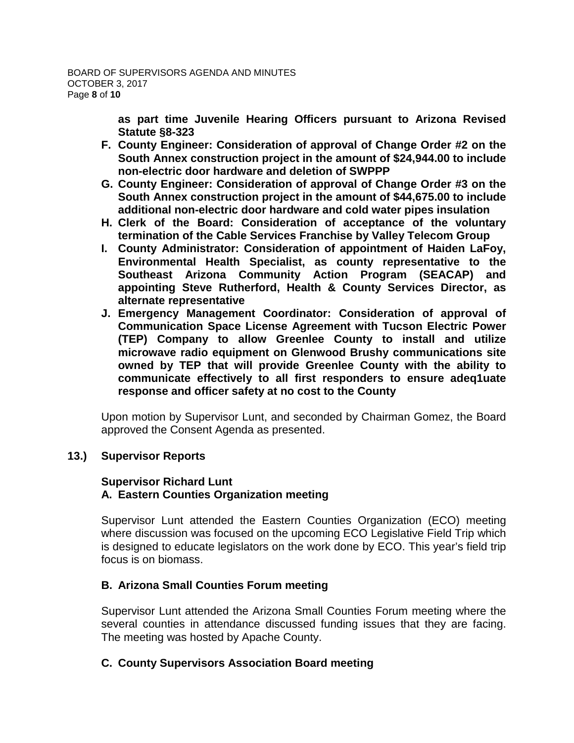**as part time Juvenile Hearing Officers pursuant to Arizona Revised Statute §8-323**

- **F. County Engineer: Consideration of approval of Change Order #2 on the South Annex construction project in the amount of \$24,944.00 to include non-electric door hardware and deletion of SWPPP**
- **G. County Engineer: Consideration of approval of Change Order #3 on the South Annex construction project in the amount of \$44,675.00 to include additional non-electric door hardware and cold water pipes insulation**
- **H. Clerk of the Board: Consideration of acceptance of the voluntary termination of the Cable Services Franchise by Valley Telecom Group**
- **I. County Administrator: Consideration of appointment of Haiden LaFoy, Environmental Health Specialist, as county representative to the Southeast Arizona Community Action Program (SEACAP) and appointing Steve Rutherford, Health & County Services Director, as alternate representative**
- **J. Emergency Management Coordinator: Consideration of approval of Communication Space License Agreement with Tucson Electric Power (TEP) Company to allow Greenlee County to install and utilize microwave radio equipment on Glenwood Brushy communications site owned by TEP that will provide Greenlee County with the ability to communicate effectively to all first responders to ensure adeq1uate response and officer safety at no cost to the County**

Upon motion by Supervisor Lunt, and seconded by Chairman Gomez, the Board approved the Consent Agenda as presented.

### **13.) Supervisor Reports**

### **Supervisor Richard Lunt A. Eastern Counties Organization meeting**

Supervisor Lunt attended the Eastern Counties Organization (ECO) meeting where discussion was focused on the upcoming ECO Legislative Field Trip which is designed to educate legislators on the work done by ECO. This year's field trip focus is on biomass.

### **B. Arizona Small Counties Forum meeting**

Supervisor Lunt attended the Arizona Small Counties Forum meeting where the several counties in attendance discussed funding issues that they are facing. The meeting was hosted by Apache County.

### **C. County Supervisors Association Board meeting**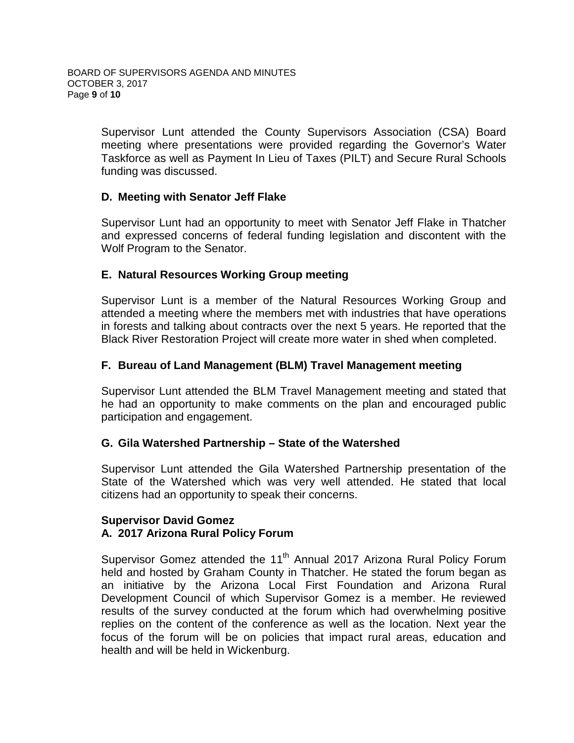Supervisor Lunt attended the County Supervisors Association (CSA) Board meeting where presentations were provided regarding the Governor's Water Taskforce as well as Payment In Lieu of Taxes (PILT) and Secure Rural Schools funding was discussed.

# **D. Meeting with Senator Jeff Flake**

Supervisor Lunt had an opportunity to meet with Senator Jeff Flake in Thatcher and expressed concerns of federal funding legislation and discontent with the Wolf Program to the Senator.

# **E. Natural Resources Working Group meeting**

Supervisor Lunt is a member of the Natural Resources Working Group and attended a meeting where the members met with industries that have operations in forests and talking about contracts over the next 5 years. He reported that the Black River Restoration Project will create more water in shed when completed.

## **F. Bureau of Land Management (BLM) Travel Management meeting**

Supervisor Lunt attended the BLM Travel Management meeting and stated that he had an opportunity to make comments on the plan and encouraged public participation and engagement.

### **G. Gila Watershed Partnership – State of the Watershed**

Supervisor Lunt attended the Gila Watershed Partnership presentation of the State of the Watershed which was very well attended. He stated that local citizens had an opportunity to speak their concerns.

### **Supervisor David Gomez A. 2017 Arizona Rural Policy Forum**

Supervisor Gomez attended the 11<sup>th</sup> Annual 2017 Arizona Rural Policy Forum held and hosted by Graham County in Thatcher. He stated the forum began as an initiative by the Arizona Local First Foundation and Arizona Rural Development Council of which Supervisor Gomez is a member. He reviewed results of the survey conducted at the forum which had overwhelming positive replies on the content of the conference as well as the location. Next year the focus of the forum will be on policies that impact rural areas, education and health and will be held in Wickenburg.